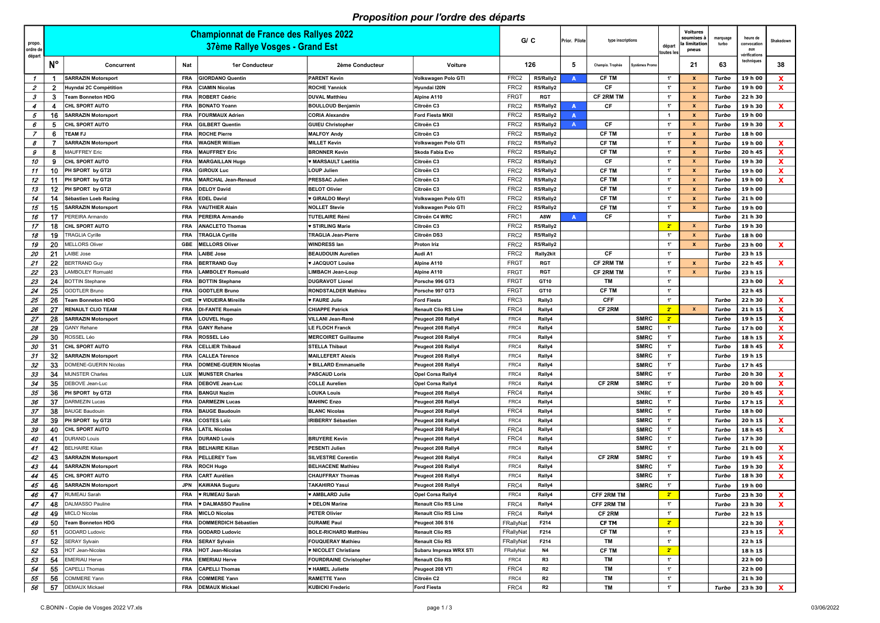## Proposition pour l'ordre des départs

| propo.<br>ordre de l<br>départ |             | <b>Championnat de France des Rallyes 2022</b><br>37ème Rallye Vosges - Grand Est |            |                            |                               | G / C                       |                  | Prior. Pilote | type inscriptions |                   | départ<br>toutes les | <b>Voitures</b><br>soumises à<br>a limitation<br>pneus | marquage<br>turbo | heure de<br>convocation<br>aux<br>vérifications | Shakedown          |                   |
|--------------------------------|-------------|----------------------------------------------------------------------------------|------------|----------------------------|-------------------------------|-----------------------------|------------------|---------------|-------------------|-------------------|----------------------|--------------------------------------------------------|-------------------|-------------------------------------------------|--------------------|-------------------|
|                                | $N^{\circ}$ | Concurrent                                                                       | Nat        | <b>1er Conducteur</b>      | 2ème Conducteur               | Voiture                     | 126              |               | 5                 | Champio. Trophée  | Systèmes Promo       |                                                        | 21                | 63                                              | techniques         | 38                |
| $\mathcal I$                   |             | <b>SARRAZIN Motorsport</b>                                                       | <b>FRA</b> | <b>GIORDANO Quentin</b>    | <b>PARENT Kevin</b>           | Volkswagen Polo GTI         | FRC <sub>2</sub> | R5/Rally2     | A                 | <b>CF TM</b>      |                      | $-1$                                                   |                   | Turbo                                           | 19 h 00            | X                 |
| $\boldsymbol{z}$               | 2           | Huyndai 2C Compétition                                                           | <b>FRA</b> | CIAMIN Nicolas             | <b>ROCHE Yannick</b>          | Hyundai I20N                | FRC <sub>2</sub> | R5/Rally2     |                   | CF                |                      | $1^{\circ}$                                            |                   | Turbo                                           | 19 h 00            | $\mathbf x$       |
| 3                              | 3           | <b>Team Bonneton HDG</b>                                                         | <b>FRA</b> | ROBERT Cédric              | <b>DUVAL Matthieu</b>         | Alpine A110                 | <b>FRGT</b>      | RGT           |                   | <b>CF 2RM TM</b>  |                      | 1'                                                     |                   | Turbo                                           | 22 h 30            |                   |
| 4                              |             | CHL SPORT AUTO                                                                   | <b>FRA</b> | <b>BONATO Yoann</b>        | <b>BOULLOUD Benjamin</b>      | Citroën C3                  | FRC <sub>2</sub> | R5/Rally2     | <b>A</b>          | СF                |                      | $-1$                                                   | $\mathbf{x}$      | Turbo                                           | 19 h 30            | X                 |
| 5                              | 16          | <b>SARRAZIN Motorsport</b>                                                       | <b>FRA</b> | FOURMAUX Adrien            | <b>CORIA Alexandre</b>        | <b>Ford Fiesta MKII</b>     | FRC <sub>2</sub> | R5/Rally2     | $\mathbf{A}$      |                   |                      | $\overline{1}$                                         |                   | Turbo                                           | 19 h 00            |                   |
| 6                              | 5           | CHL SPORT AUTO                                                                   | <b>FRA</b> | GILBERT Quentin            | <b>GUIEU Christopher</b>      | Citroën C3                  | FRC <sub>2</sub> | R5/Rally2     | $\mathsf{A}$      | СF                |                      | 1'                                                     |                   | Turbo                                           | 19 h 30            | $\mathbf{x}$      |
| $\overline{z}$                 | 6           | <b>TEAM FJ</b>                                                                   | <b>FRA</b> | ROCHE Pierre               | <b>MALFOY Andy</b>            | Citroën C3                  | FRC2             | R5/Rally2     |                   | <b>CF TM</b>      |                      | $-1$                                                   |                   | Turbo                                           | 18 h 00            |                   |
| 8                              |             | <b>SARRAZIN Motorsport</b>                                                       | <b>FRA</b> | <b>WAGNER William</b>      | <b>MILLET Kevin</b>           | Volkswagen Polo GTI         | FRC <sub>2</sub> | R5/Rally2     |                   | <b>CF TM</b>      |                      | $-1$                                                   | $\mathbf{x}$      | Turbo                                           | 19 h 00            | $\mathbf x$       |
| 9                              | 8           | <b>MAUFFREY Eric</b>                                                             | <b>FRA</b> | <b>MAUFFREY Eric</b>       | <b>BRONNER Kevin</b>          | Skoda Fabia Evo             | FRC <sub>2</sub> | R5/Rally2     |                   | <b>CF TM</b>      |                      | $1^{\circ}$                                            |                   | Turbo                                           | 20 h 45            | $\mathbf x$       |
| 10                             | 9           | <b>CHL SPORT AUTO</b>                                                            | <b>FRA</b> | <b>MARGAILLAN Hugo</b>     | <b>WARSAULT Laetitia</b>      | Citroën C3                  | FRC2             | R5/Rally2     |                   | CF                |                      | $-1$                                                   |                   | Turbo                                           | 19 h 30            | X                 |
| 11                             | 10          | PH SPORT by GT2I                                                                 | <b>FRA</b> | <b>GIROUX Luc</b>          | <b>LOUP Julien</b>            | Citroën C3                  | FRC <sub>2</sub> | R5/Rally2     |                   | <b>CF TM</b>      |                      | $1^{\circ}$                                            |                   | Turbo                                           | 19 h 00            | $\mathbf x$       |
| 12                             | 11          | PH SPORT by GT2I                                                                 | <b>FRA</b> | <b>MARCHAL Jean-Renaud</b> | <b>PRESSAC Julien</b>         | Citroën C3                  | FRC <sub>2</sub> | R5/Rally2     |                   | <b>CF TM</b>      |                      | 1'                                                     |                   | Turbo                                           | 19 h 00            | $\mathbf{x}$      |
| 13                             | 12          | PH SPORT by GT2I                                                                 | <b>FRA</b> | <b>DELOY David</b>         | <b>BELOT Olivier</b>          | Citroën C3                  | FRC2             | R5/Rally2     |                   | <b>CF TM</b>      |                      | 1'                                                     |                   | Turbo                                           | 19 h 00            |                   |
| 14                             | 14          | Sébastien Loeb Racing                                                            | <b>FRA</b> | <b>EDEL David</b>          | ♥ GIRALDO Meryl               | Volkswagen Polo GTI         | FRC <sub>2</sub> | R5/Rally2     |                   | <b>CF TM</b>      |                      | $-1$                                                   | X                 | Turbo                                           | 21 h 00            |                   |
| 15                             | 15          | <b>SARRAZIN Motorsport</b>                                                       | <b>FRA</b> | <b>VAUTHIER Alain</b>      | <b>NOLLET Stevie</b>          | Volkswagen Polo GTI         | FRC <sub>2</sub> | R5/Rally2     |                   | <b>CF TM</b>      |                      | $-1$                                                   | <b>X</b>          | Turbo                                           | 19 h 00            |                   |
| 16                             | 17          | PEREIRA Armando                                                                  | <b>FRA</b> | PEREIRA Armando            | <b>TUTELAIRE Rémi</b>         | Citroën C4 WRC              | FRC1             | A8W           | A                 | СF                |                      | $-1$                                                   |                   | Turbo                                           | 21 h 30            |                   |
| 17                             |             | CHL SPORT AUTO                                                                   | <b>FRA</b> | <b>ANACLETO Thomas</b>     | V STIRLING Marie              | Citroën C3                  | FRC <sub>2</sub> | R5/Rally2     |                   |                   |                      | $2^{\circ}$                                            |                   | Turbo                                           | 19 h 30            |                   |
| 18                             | 19          | <b>TRAGLIA Cyrille</b>                                                           | <b>FRA</b> | <b>TRAGLIA Cyrille</b>     | <b>TRAGLIA Jean-Pierre</b>    | Citroën DS3                 | FRC2             | R5/Rally2     |                   |                   |                      | $1^{\circ}$                                            |                   | Turbo                                           | 18 h 00            |                   |
| 19                             | 20          | <b>MELLORS Oliver</b>                                                            | <b>GBE</b> | <b>MELLORS Oliver</b>      | <b>WINDRESS lan</b>           | <b>Proton Iriz</b>          | FRC <sub>2</sub> | R5/Rally2     |                   |                   |                      | $1^{\circ}$                                            |                   | Turbo                                           | 23 h 00            | X                 |
| 20                             | 21          | LAIBE Jose                                                                       | <b>FRA</b> | LAIBE Jose                 | <b>BEAUDOUIN Aurelien</b>     | Audi A1                     | FRC <sub>2</sub> | Rally2kit     |                   | CF                |                      | $-1$                                                   |                   | Turbo                                           | 23 h 15            |                   |
| 21                             | 22          | <b>BERTRAND Guy</b>                                                              | <b>FRA</b> | <b>BERTRAND Guy</b>        | <b>V JACQUOT Louise</b>       | Alpine A110                 | <b>FRGT</b>      | <b>RGT</b>    |                   | <b>CF 2RM TM</b>  |                      | $1^{\circ}$                                            |                   | Turbo                                           | 22 h 45            | $\mathbf x$       |
| 22                             | 23          | <b>LAMBOLEY Romuald</b>                                                          | FRA        | <b>LAMBOLEY Romuald</b>    | <b>LIMBACH Jean-Loup</b>      | Alpine A110                 | <b>FRGT</b>      | <b>RGT</b>    |                   | <b>CF 2RM TM</b>  |                      | $-1$                                                   |                   | Turbo                                           | 23 h 15            |                   |
| 23                             | 24          | <b>BOTTIN Stephane</b>                                                           | <b>FRA</b> | <b>BOTTIN Stephane</b>     | <b>DUGRAVOT Lionel</b>        | Porsche 996 GT3             | <b>FRGT</b>      | GT10          |                   | ΤM                |                      | $\mathbf{1}^{\prime}$                                  |                   |                                                 | 23 h 00            | $\mathbf{x}$      |
| 24                             | 25          | <b>GODTLER Bruno</b>                                                             | <b>FRA</b> | <b>GODTLER Bruno</b>       | RONDSTALDER Mathieu           | Porsche 997 GT3             | <b>FRGT</b>      | GT10          |                   | <b>CF TM</b>      |                      | $1^{\circ}$                                            |                   |                                                 | 22 h 45            |                   |
| 25                             | 26          | <b>Team Bonneton HDG</b>                                                         | <b>CHE</b> | ♥ VIDUEIRA Mireille        | <b>v FAURE Julie</b>          | <b>Ford Fiesta</b>          | FRC3             | Rally3        |                   | <b>CFF</b>        |                      | $1^{\circ}$                                            |                   | Turbo                                           | 22 h 30            | X                 |
| 26                             | 27          | <b>RENAULT CLIO TEAM</b>                                                         | <b>FRA</b> | DI-FANTE Romain            | <b>CHIAPPE Patrick</b>        | <b>Renault Clio RS Line</b> | FRC4             | Rally4        |                   | CF 2RM            |                      | 2'                                                     |                   | Turbo                                           | 21 h 15            | $\mathbf x$       |
| 27                             | 28          | <b>SARRAZIN Motorsport</b>                                                       | <b>FRA</b> | LOUVEL Hugo                | <b>VILLANI Jean-René</b>      | Peugeot 208 Rally4          | FRC4             | Rally4        |                   |                   | <b>SMRC</b>          | $2^{\circ}$                                            |                   | Turbo                                           | 19 h 15            | X                 |
| 28                             | 29          | <b>GANY Rehane</b>                                                               | <b>FRA</b> | <b>GANY Rehane</b>         | <b>LE FLOCH Franck</b>        | Peugeot 208 Rally4          | FRC4             | Rally4        |                   |                   | <b>SMRC</b>          | $1^{\circ}$                                            |                   | Turbo                                           | 17 h 00            | X                 |
| 29                             | 30          | ROSSEL Léo                                                                       | <b>FRA</b> | <b>ROSSEL Léo</b>          | <b>MERCOIRET Guillaume</b>    | Peugeot 208 Rally4          | FRC4             | Rally4        |                   |                   | <b>SMRC</b>          | $\mathbf{1}$                                           |                   | Turbo                                           | 18 h 15            | $\mathbf{x}$      |
| 30                             | 31          | CHL SPORT AUTO                                                                   | <b>FRA</b> | <b>CELLIER Thibaud</b>     | <b>STELLA Thibaut</b>         | Peugeot 208 Rally4          | FRC4             | Rally4        |                   |                   | <b>SMRC</b>          | -1'                                                    |                   | Turbo                                           | 18 h 45            | X                 |
| 31                             | 32          | <b>SARRAZIN Motorsport</b>                                                       | <b>FRA</b> | <b>CALLEA Térence</b>      | <b>MAILLEFERT Alexis</b>      | Peugeot 208 Rally4          | FRC4             | Rally4        |                   |                   | <b>SMRC</b>          | $\mathbf{A}$                                           |                   | Turbo                                           | 19 h 15            |                   |
| 32                             | ∽<br>33     | DOMENE-GUERIN Nicolas                                                            | <b>FRA</b> | DOMENE-GUERIN Nicolas      | <b>* BILLARD Emmanuelle</b>   | Peugeot 208 Rally4          | FRC4             | Rally4        |                   |                   | <b>SMRC</b>          | 1'                                                     |                   | Turbo                                           | 17 h 45            |                   |
| 33                             | 34          | <b>MUNSTER Charles</b>                                                           | LUX        | <b>MUNSTER Charles</b>     | <b>PASCAUD Loris</b>          | <b>Opel Corsa Rally4</b>    | FRC4             | Rally4        |                   |                   | <b>SMRC</b>          | 1'                                                     |                   | Turbo                                           | 20 h 30            | X.                |
| 34                             | 35          | DEBOVE Jean-Luc                                                                  | <b>FRA</b> | <b>DEBOVE Jean-Luc</b>     | <b>COLLE Aurelien</b>         | <b>Opel Corsa Rally4</b>    | FRC4             | Rally4        |                   | CF 2RM            | <b>SMRC</b>          | $1^{\circ}$                                            |                   | Turbo                                           | 20 h 00            | $\mathbf{x}$      |
| 35                             | 36          | PH SPORT by GT2I                                                                 | <b>FRA</b> | <b>BANGUI Nazim</b>        | <b>LOUKA Louis</b>            | Peugeot 208 Rally4          | FRC4             | Rally4        |                   |                   | <b>SMRC</b>          | $1^{\circ}$                                            |                   | Turbo                                           | 20 h 45            | $\mathbf{x}$      |
| 36                             | 37          | <b>DARMEZIN Lucas</b>                                                            | <b>FRA</b> | <b>DARMEZIN Lucas</b>      | <b>MAHINC Enzo</b>            | Peugeot 208 Rally4          | FRC4             | Rally4        |                   |                   | <b>SMRC</b>          | $1^{\circ}$                                            |                   | Turbo                                           | 17 h 15            | <b>X</b>          |
| 37                             | 38          | <b>BAUGE Baudouin</b>                                                            | <b>FRA</b> | <b>BAUGE Baudouin</b>      | <b>BLANC Nicolas</b>          | Peugeot 208 Rally4          | FRC4             | Rally4        |                   |                   | <b>SMRC</b>          | 1'                                                     |                   | Turbo                                           | 18 h 00            |                   |
| 38                             | -39         | PH SPORT by GT2I                                                                 | <b>FRA</b> | <b>COSTES Loïc</b>         | <b>IRIBERRY Sébastien</b>     | Peugeot 208 Rally4          | FRC4             | Rally4        |                   |                   | <b>SMRC</b>          | 1'                                                     |                   | Turbo                                           | 20 h 15            | <b>X</b>          |
| 39                             | 40          | <b>CHL SPORT AUTO</b>                                                            | <b>FRA</b> | <b>LATIL Nicolas</b>       |                               | Peugeot 208 Rally4          | FRC4             | Rally4        |                   |                   | <b>SMRC</b>          | 1'                                                     |                   | Turbo                                           | 18 h 45            | <b>X</b>          |
| 40                             | -41         | <b>DURAND Louis</b>                                                              | <b>FRA</b> | <b>DURAND Louis</b>        | <b>BRUYERE Kevin</b>          | Peugeot 208 Rally4          | FRC4             | Rally4        |                   |                   | <b>SMRC</b>          | 1'                                                     |                   | Turbo                                           | 17 h 30            |                   |
| 41                             | 42          | <b>BELHAIRE Kilian</b>                                                           | <b>FRA</b> | <b>BELHAIRE Kilian</b>     | <b>PESENTI Julien</b>         | Peugeot 208 Rally4          | FRC4             | Rally4        |                   |                   | <b>SMRC</b>          | 1'                                                     |                   | Turbo                                           | 21 h 00            | <b>X</b>          |
| 42                             | 43          | <b>SARRAZIN Motorsport</b>                                                       | <b>FRA</b> | <b>PELLEREY Tom</b>        | <b>SILVESTRE Corentin</b>     | Peugeot 208 Rally4          | FRC4             | Rally4        |                   | CF 2RM            | <b>SMRC</b>          | 1'                                                     |                   | Turbo                                           | 19 h 45            | <b>X</b>          |
| 43                             | 44          | <b>SARRAZIN Motorsport</b>                                                       | <b>FRA</b> | <b>ROCH Hugo</b>           | <b>BELHACENE Mathieu</b>      | Peugeot 208 Rally4          | FRC4             | Rally4        |                   |                   | <b>SMRC</b>          | $1^{\circ}$                                            |                   | Turbo                                           | 19 h 30            | X                 |
| 44                             | 45          | <b>CHL SPORT AUTO</b>                                                            | <b>FRA</b> | <b>CART Aurélien</b>       | <b>CHAUFFRAY Thomas</b>       | Peugeot 208 Rally4          | FRC4             | Rally4        |                   |                   | <b>SMRC</b>          | $1^{\circ}$                                            |                   | Turbo                                           | 18 h 30            | $\mathbf{x}$      |
| 45                             | 46          | <b>SARRAZIN Motorsport</b>                                                       | <b>JPN</b> | KAWANA Suguru              | <b>TAKAHIRO Yasui</b>         | Peugeot 208 Rally4          | FRC4             | Rally4        |                   |                   | <b>SMRC</b>          | $1^{\circ}$                                            |                   | Turbo                                           | 19 h 00            |                   |
| 46                             | 47          | <b>RUMEAU Sarah</b>                                                              | <b>FRA</b> | ♥ RUMEAU Sarah             | <b>V AMBLARD Julie</b>        | <b>Opel Corsa Rally4</b>    | FRC4             | Rally4        |                   | <b>CFF 2RM TM</b> |                      | $2^{\circ}$                                            |                   | Turbo                                           | 23 h 30            | $\mathbf{x}$      |
| 47                             | 48          | <b>DALMASSO Pauline</b>                                                          | <b>FRA</b> | DALMASSO Pauline           | <b>v DELON Marine</b>         | <b>Renault Clio RS Line</b> | FRC4             | Rally4        |                   | <b>CFF 2RM TM</b> |                      | $1^{\circ}$                                            |                   | Turbo                                           | 23 h 30            | <b>X</b>          |
| 48                             | 49          | <b>MICLO Nicolas</b>                                                             | <b>FRA</b> | <b>MICLO Nicolas</b>       | <b>PETER Olivier</b>          | <b>Renault Clio RS Line</b> | FRC4             | Rally4        |                   | CF 2RM            |                      | 1'                                                     |                   | Turbo                                           | 22 h 15            |                   |
|                                | 50          | <b>Team Bonneton HDG</b>                                                         | <b>FRA</b> | DOMMERDICH Sébastien       | <b>DURAME Paul</b>            | Peugeot 306 S16             | FRallyNat        | F214          |                   | <b>CF TM</b>      |                      | $2^{\circ}$                                            |                   |                                                 | 22 h 30            |                   |
| 49<br>50                       | 51          | <b>GODARD Ludovic</b>                                                            | <b>FRA</b> | <b>GODARD Ludovic</b>      | BOLE-RICHARD Matthieu         | <b>Renault Clio RS</b>      | FRallyNat        | F214          |                   | <b>CF TM</b>      |                      | $-1$                                                   |                   |                                                 | 23 h 15            | X<br>$\mathbf{x}$ |
| 51                             | 52          | <b>SERAY Sylvain</b>                                                             | <b>FRA</b> | <b>SERAY Sylvain</b>       | <b>FOUQUERAY Mathieu</b>      | <b>Renault Clio RS</b>      | FRallyNat        | F214          |                   | TM                |                      | $1^{\circ}$                                            |                   |                                                 | 22 h 15            |                   |
| 52                             | 53          | HOT Jean-Nicolas                                                                 | <b>FRA</b> | HOT Jean-Nicolas           | <b>V NICOLET Christiane</b>   | Subaru Impreza WRX STI      | FRallyNat        | <b>N4</b>     |                   | <b>CF TM</b>      |                      | $2^{\circ}$                                            |                   |                                                 | 18 h 15            |                   |
| 53                             | 54          | <b>EMERIAU Herve</b>                                                             | <b>FRA</b> | <b>EMERIAU Herve</b>       | <b>FOURDRAINE Christopher</b> | <b>Renault Clio RS</b>      | FRC4             | R3            |                   | <b>TM</b>         |                      | 1'                                                     |                   |                                                 | 22 h 00            |                   |
| 54                             | 55          | <b>CAPELLI Thomas</b>                                                            | <b>FRA</b> | <b>CAPELLI Thomas</b>      | <b>V HAMEL Juliette</b>       | Peugeot 208 VTI             | FRC4             | R2            |                   | TM                |                      | $1^{\circ}$                                            |                   |                                                 | 22 h 00            |                   |
|                                |             | <b>COMMERE Yann</b>                                                              | <b>FRA</b> | <b>COMMERE Yann</b>        | <b>RAMETTE Yann</b>           | Citroën C2                  | FRC4             |               |                   | TM                |                      | 1'                                                     |                   |                                                 |                    |                   |
| 55<br>56                       | 56<br>57    | <b>DEMAUX Mickael</b>                                                            | <b>FRA</b> | <b>DEMAUX Mickael</b>      | <b>KUBICKI Frederic</b>       | <b>Ford Fiesta</b>          | FRC4             | R2<br>R2      |                   | <b>TM</b>         |                      | $\mathbf{1}^{\prime}$                                  |                   | Turbo                                           | 21 h 30<br>23 h 30 | <b>X</b>          |
|                                |             |                                                                                  |            |                            |                               |                             |                  |               |                   |                   |                      |                                                        |                   |                                                 |                    |                   |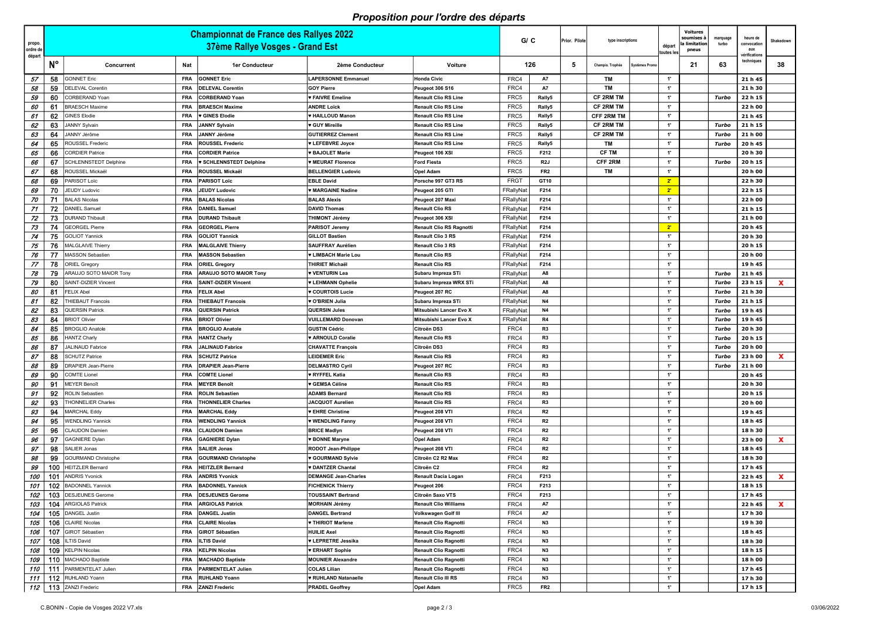## Proposition pour l'ordre des départs

| propo.<br>ordre de |                  |                                                   |                          | <b>Championnat de France des Rallyes 2022</b><br>37ème Rallye Vosges - Grand Est |                                                         |                                                      | GIC                    |                 | Prior. Pilote | type inscriptions | départ<br>toutes les             | <b>Voitures</b><br>soumises a<br>a limitatior<br>pneus | marquage<br>turbo | heure de<br>convocation<br>aux | Shakedown<br><i>v</i> érifications |  |  |  |  |  |
|--------------------|------------------|---------------------------------------------------|--------------------------|----------------------------------------------------------------------------------|---------------------------------------------------------|------------------------------------------------------|------------------------|-----------------|---------------|-------------------|----------------------------------|--------------------------------------------------------|-------------------|--------------------------------|------------------------------------|--|--|--|--|--|
| départ             | N°               | Concurrent                                        | Nat                      | <b>1er Conducteur</b>                                                            | 2ème Conducteur                                         | Voiture                                              | 126                    |                 | -5            | Champio. Trophée  | <b>Systèmes Promo</b>            | 21                                                     | 63                | techniques                     | 38                                 |  |  |  |  |  |
| -57                | 58               | <b>GONNET Eric</b>                                | <b>FRA</b>               | <b>GONNET Eric</b>                                                               | <b>LAPERSONNE Emmanuel</b>                              | Honda Civic                                          | FRC4                   | A7              |               | TM                | $\cdot$                          |                                                        |                   | 21 h 45                        |                                    |  |  |  |  |  |
| 58                 | 59               | <b>DELEVAL Corentin</b>                           | FRA                      | <b>DELEVAL Corentin</b>                                                          | <b>GOY Pierre</b>                                       | Peugeot 306 S16                                      | FRC4                   | A7              |               | TM                | $-1$                             |                                                        |                   | 21 h 30                        |                                    |  |  |  |  |  |
| 59                 | 60               | CORBERAND Yoan                                    | <b>FRA</b>               | CORBERAND Yoan                                                                   | ♥ FAIVRE Emeline                                        | <b>Renault Clio RS Line</b>                          | FRC5                   | Rally5          |               | <b>CF 2RM TM</b>  | $-1$                             |                                                        | Turbo             | 22 h 15                        |                                    |  |  |  |  |  |
| 60                 | 6                | <b>BRAESCH Maxime</b>                             | <b>FRA</b>               | <b>BRAESCH Maxime</b>                                                            | <b>ANDRE Loïck</b>                                      | <b>Renault Clio RS Line</b>                          | FRC5                   | Rally5          |               | <b>CF 2RM TM</b>  | $\cdot$                          |                                                        |                   | 22 h 00                        |                                    |  |  |  |  |  |
| 61                 | 62               | <b>GINES Elodie</b>                               | <b>FRA</b>               | <b>v GINES Elodie</b>                                                            | <b>* HAILLOUD Manon</b>                                 | <b>Renault Clio RS Line</b>                          | FRC <sub>5</sub>       | Rally5          |               | <b>CFF 2RM TM</b> | $\cdot$                          |                                                        |                   | 21 h 45                        |                                    |  |  |  |  |  |
| 62                 | 63               | <b>JANNY Sylvain</b>                              | <b>FRA</b>               | <b>JANNY Sylvain</b>                                                             | <b>v</b> GUY Mireille                                   | <b>Renault Clio RS Line</b>                          | FRC <sub>5</sub>       | Rally5          |               | <b>CF 2RM TM</b>  | $\cdot$                          |                                                        | Turbo             | 21 h 15                        |                                    |  |  |  |  |  |
| 63                 | 64               | JANNY Jérôme                                      | <b>FRA</b>               | <b>JANNY Jérôme</b>                                                              | <b>GUTIERREZ Clement</b>                                | <b>Renault Clio RS Line</b>                          | FRC <sub>5</sub>       | Rally5          |               | <b>CF 2RM TM</b>  | $\cdot$                          |                                                        | Turbo             | 21 h 00                        |                                    |  |  |  |  |  |
| 64                 | 65               | <b>ROUSSEL Frederic</b>                           | <b>FRA</b>               | <b>ROUSSEL Frederic</b>                                                          | <b>V LEFEBVRE Joyce</b>                                 | <b>Renault Clio RS Line</b>                          | FRC <sub>5</sub>       | Rally5          |               | TM                | $\cdot$                          |                                                        | Turbo             | 20 h 45                        |                                    |  |  |  |  |  |
| 65                 | 66               | <b>CORDIER Patrice</b>                            | FRA                      | <b>CORDIER Patrice</b>                                                           | <b>* BAJOLET Marie</b>                                  | Peugeot 106 XSI                                      | FRC5                   | F212            |               | <b>CF TM</b>      | 1'                               |                                                        |                   | 20 h 30                        |                                    |  |  |  |  |  |
| 66                 | 67               | <b>SCHLENNSTEDT Delphine</b>                      | FRA                      | <b>v SCHLENNSTEDT Delphine</b>                                                   | <b>WEURAT Florence</b>                                  | <b>Ford Fiesta</b>                                   | FRC5                   | R2J             |               | <b>CFF 2RM</b>    | $\cdot$                          |                                                        | Turbo             | 20 h 15                        |                                    |  |  |  |  |  |
| 67                 | 68               | ROUSSEL Mickaël                                   | <b>FRA</b>               | ROUSSEL Mickaël                                                                  | <b>BELLENGIER Ludovic</b>                               | <b>Opel Adam</b>                                     | FRC5                   | FR <sub>2</sub> |               | <b>TM</b>         | 1'                               |                                                        |                   | 20 h 00                        |                                    |  |  |  |  |  |
| 68                 | 69               | PARISOT Loïc                                      | <b>FRA</b>               | <b>PARISOT Loïc</b>                                                              | <b>EBLE David</b>                                       | Porsche 997 GT3 RS                                   | <b>FRGT</b>            | GT10            |               |                   | $2^{\circ}$                      |                                                        |                   | 22 h 30                        |                                    |  |  |  |  |  |
| 69                 | 70               | JEUDY Ludovic                                     | FRA                      | <b>JEUDY Ludovic</b>                                                             | <b>W MARGAINE Nadine</b>                                | Peugeot 205 GTI                                      | FRallyNat              | F214            |               |                   | $2^{\circ}$                      |                                                        |                   | 22 h 15                        |                                    |  |  |  |  |  |
| 70                 | 71               | <b>BALAS Nicolas</b>                              | <b>FRA</b>               | <b>BALAS Nicolas</b>                                                             | <b>BALAS Alexis</b>                                     | Peugeot 207 Maxi                                     | FRallyNat              | F214            |               |                   | 1'                               |                                                        |                   | 22 h 00                        |                                    |  |  |  |  |  |
| 71                 | 72               | <b>DANIEL Samuel</b>                              | <b>FRA</b>               | <b>DANIEL Samuel</b>                                                             | <b>DAVID Thomas</b>                                     | <b>Renault Clio RS</b>                               | FRallyNat              | F214            |               |                   | $\cdot$                          |                                                        |                   | 21 h 15                        |                                    |  |  |  |  |  |
| 72                 | 73               | <b>DURAND Thibault</b>                            | <b>FRA</b>               | <b>DURAND Thibault</b>                                                           | <b>THIMONT Jérémy</b>                                   | Peugeot 306 XSI                                      | FRallyNat              | F214            |               |                   | $\cdot$                          |                                                        |                   | 21 h 00                        |                                    |  |  |  |  |  |
| 73                 | 74               | <b>GEORGEL Pierre</b>                             | <b>FRA</b>               | <b>GEORGEL Pierre</b>                                                            | <b>PARISOT Jeremy</b>                                   | <b>Renault Clio RS Ragnotti</b>                      | FRallyNat<br>FRallyNat | F214            |               |                   | $2^{\circ}$<br>$\cdot$           |                                                        |                   | 20 h 45                        |                                    |  |  |  |  |  |
| 74                 | 75<br>76         | <b>GOLIOT Yannick</b><br><b>MALGLAIVE Thierry</b> | <b>FRA</b><br><b>FRA</b> | <b>GOLIOT Yannick</b><br><b>MALGLAIVE Thierry</b>                                | <b>GILLOT Bastien</b><br><b>SAUFFRAY Aurélien</b>       | <b>Renault Clio 3 RS</b><br><b>Renault Clio 3 RS</b> | FRallyNat              | F214<br>F214    |               |                   | $\cdot$                          |                                                        |                   | 20 h 30<br>20 h 15             |                                    |  |  |  |  |  |
| 75<br>76           | 77               | <b>MASSON Sebastien</b>                           | <b>FRA</b>               | MASSON Sebastien                                                                 | ♥ LIMBACH Marie Lou                                     | <b>Renault Clio RS</b>                               | FRallyNat              | F214            |               |                   | $\cdot$                          |                                                        |                   | 20 h 00                        |                                    |  |  |  |  |  |
| 77                 | 78               | <b>ORIEL Gregory</b>                              | <b>FRA</b>               | <b>ORIEL Gregory</b>                                                             | <b>THIRIET Michaël</b>                                  | <b>Renault Clio RS</b>                               | FRallyNat              | F214            |               |                   | 1'                               |                                                        |                   | 19 h 45                        |                                    |  |  |  |  |  |
| 78                 | 79               | ARAUJO SOTO MAIOR Tony                            | <b>FRA</b>               | <b>ARAUJO SOTO MAIOR Tony</b>                                                    | <b>v VENTURIN Lea</b>                                   | Subaru Impreza STi                                   | FRallyNat              | A8              |               |                   | $\cdot$                          |                                                        | Turbo             | 21 h 45                        |                                    |  |  |  |  |  |
| 79                 | 80               | SAINT-DIZIER Vincent                              | <b>FRA</b>               | <b>SAINT-DIZIER Vincent</b>                                                      | <b>V LEHMANN Ophelie</b>                                | Subaru Impreza WRX STi                               | FRallyNat              | A8              |               |                   | $\cdot$                          |                                                        | Turbo             | 23 h 15                        | $\mathbf{x}$                       |  |  |  |  |  |
| 80                 | 81               | <b>FELIX Abel</b>                                 | <b>FRA</b>               | <b>FELIX Abel</b>                                                                | <b>v COURTOIS Lucie</b>                                 | Peugeot 207 RC                                       | FRallyNat              | A8              |               |                   | $\cdot$                          |                                                        | Turbo             | 21 h 30                        |                                    |  |  |  |  |  |
| 81                 | -82              | <b>HIEBAUT Francois</b>                           | <b>FRA</b>               | <b>THIEBAUT Francois</b>                                                         | <b>v O'BRIEN Julia</b>                                  | Subaru Impreza STi                                   | FRallyNat              | <b>N4</b>       |               |                   | $\cdot$                          |                                                        | Turbo             | 21 h 15                        |                                    |  |  |  |  |  |
| 82                 | -83              | QUERSIN Patrick                                   | <b>FRA</b>               | <b>QUERSIN Patrick</b>                                                           | <b>QUERSIN Jules</b>                                    | Mitsubishi Lancer Evo X                              | FRallyNat              | N4              |               |                   | 1'                               |                                                        | Turbo             | 19 h 45                        |                                    |  |  |  |  |  |
| 83                 | 84               | <b>BRIOT Olivier</b>                              | <b>FRA</b>               | <b>BRIOT Olivier</b>                                                             | <b>VUILLEMARD Donovan</b>                               | Mitsubishi Lancer Evo X                              | FRallyNat              | R4              |               |                   | 1'                               |                                                        | Turbo             | 19 h 45                        |                                    |  |  |  |  |  |
| 84                 | 85               | <b>BROGLIO Anatole</b>                            | <b>FRA</b>               | <b>BROGLIO Anatole</b>                                                           | <b>GUSTIN Cédric</b>                                    | Citroën DS3                                          | FRC4                   | R3              |               |                   | $\cdot$                          |                                                        | Turbo             | 20 h 30                        |                                    |  |  |  |  |  |
| 85                 | 86               | <b>HANTZ Charly</b>                               | <b>FRA</b>               | <b>HANTZ Charly</b>                                                              | <b>* ARNOULD Coralie</b>                                | Renault Clio RS                                      | FRC4                   | R3              |               |                   | $\cdot$                          |                                                        | Turbo             | 20 h 15                        |                                    |  |  |  |  |  |
| 86                 | 87               | <b>JALINAUD Fabrice</b>                           | <b>FRA</b>               | <b>JALINAUD Fabrice</b>                                                          | <b>CHAVATTE François</b>                                | Citroën DS3                                          | FRC4                   | R3              |               |                   | $\cdot$                          |                                                        | Turbo             | 20 h 00                        |                                    |  |  |  |  |  |
| 87                 | <b>RR</b><br>vv. | <b>SCHUTZ Patrice</b>                             | <b>FRA</b>               | <b>SCHUTZ Patrice</b>                                                            | <b>LEIDEMER Eric</b>                                    | <b>Renault Clio RS</b>                               | FRC4                   | R <sub>3</sub>  |               |                   | $\mathbf{A}$                     |                                                        | Turbo             | 23 h 00                        | Y<br>$\mathbf{v}$                  |  |  |  |  |  |
| 88                 | 89               | <b>DRAPIER Jean-Pierre</b>                        | FRA                      | <b>DRAPIER Jean-Pierre</b>                                                       | <b>DELMASTRO Cyril</b>                                  | Peugeot 207 RC                                       | FRC4                   | R3              |               |                   | $\cdot$                          |                                                        | Turbo             | 21 h 00                        |                                    |  |  |  |  |  |
| 89                 | 90               | <b>COMTE Lionel</b>                               | <b>FRA</b>               | <b>COMTE Lionel</b>                                                              | <b>v RYFFEL Katia</b>                                   | <b>Renault Clio RS</b>                               | FRC4                   | R3              |               |                   | $\mathbf{1}^{\prime}$            |                                                        |                   | 20 h 45                        |                                    |  |  |  |  |  |
| 90                 | 91               | <b>MEYER Benoît</b>                               | <b>FRA</b>               | <b>MEYER Benoît</b>                                                              | <b>v GEMSA Céline</b>                                   | Renault Clio RS                                      | FRC4                   | R3              |               |                   | 1'                               |                                                        |                   | 20 h 30                        |                                    |  |  |  |  |  |
| 91                 | 92               | ROLIN Sebastien                                   | <b>FRA</b>               | <b>ROLIN Sebastien</b>                                                           | <b>ADAMS Bernard</b>                                    | <b>Renault Clio RS</b>                               | FRC4                   | R3              |               |                   | 1'                               |                                                        |                   | 20 h 15                        |                                    |  |  |  |  |  |
| 92                 | 93               | <b>THONNELIER Charles</b>                         | <b>FRA</b>               | <b>THONNELIER Charles</b>                                                        | <b>JACQUOT Aurelien</b>                                 | <b>Renault Clio RS</b>                               | FRC4                   | R3              |               |                   | $\cdot$                          |                                                        |                   | 20 h 00                        |                                    |  |  |  |  |  |
| 93                 | 94               | <b>MARCHAL Eddy</b>                               | <b>FRA</b>               | <b>MARCHAL Eddy</b>                                                              | <b>V EHRE Christine</b>                                 | Peugeot 208 VTI                                      | FRC4                   | R <sub>2</sub>  |               |                   | 1'                               |                                                        |                   | 19 h 45                        |                                    |  |  |  |  |  |
| 94                 | 95               | <b>WENDLING Yannick</b>                           | FRA                      | <b>WENDLING Yannick</b>                                                          | <b>WENDLING Fanny</b>                                   | Peugeot 208 VTI                                      | FRC4                   | R <sub>2</sub>  |               |                   | 1'                               |                                                        |                   | 18 h 45                        |                                    |  |  |  |  |  |
| 95                 | 96               | <b>CLAUDON Damien</b>                             | <b>FRA</b>               | <b>CLAUDON Damien</b>                                                            | <b>BRICE Madlyn</b>                                     | Peugeot 208 VTI                                      | FRC4                   | R <sub>2</sub>  |               |                   | 1'                               |                                                        |                   | 18 h 30                        |                                    |  |  |  |  |  |
| 96                 | 97               | <b>GAGNIERE Dylan</b>                             | <b>FRA</b>               | <b>GAGNIERE Dylan</b>                                                            | <b>* BONNE Maryne</b>                                   | <b>Opel Adam</b>                                     | FRC4                   | R <sub>2</sub>  |               |                   | 1'                               |                                                        |                   | 23 h 00                        | <b>X</b>                           |  |  |  |  |  |
| 97                 | 98               | SALIER Jonas                                      | <b>FRA</b>               | <b>SALIER Jonas</b>                                                              | <b>RODOT Jean-Philippe</b>                              | Peugeot 208 VTI                                      | FRC4                   | R <sub>2</sub>  |               |                   | 1'                               |                                                        |                   | 18 h 45                        |                                    |  |  |  |  |  |
| 98                 | 99               | <b>GOURMAND Christophe</b>                        | <b>FRA</b>               | <b>GOURMAND Christophe</b>                                                       | <b>v GOURMAND Sylvie</b>                                | Citroën C2 R2 Max                                    | FRC4                   | R <sub>2</sub>  |               |                   | $\mathbf{1}^{\prime}$<br>$\cdot$ |                                                        |                   | 18 h 30                        |                                    |  |  |  |  |  |
| 99                 | 100              | <b>HEITZLER Bernard</b><br><b>ANDRIS Yvonick</b>  | <b>FRA</b><br><b>FRA</b> | <b>HEITZLER Bernard</b><br><b>ANDRIS Yvonick</b>                                 | <b>v DANTZER Chantal</b><br><b>DEMANGE Jean-Charles</b> | Citroën C2                                           | FRC4<br>FRC4           | R2<br>F213      |               |                   | $\cdot$                          |                                                        |                   | 17 h 45                        |                                    |  |  |  |  |  |
| 100<br>101         | 101              | 102 BADONNEL Yannick                              | <b>FRA</b>               | <b>BADONNEL Yannick</b>                                                          | <b>FICHENICK Thierry</b>                                | <b>Renault Dacia Logan</b><br>Peugeot 206            | FRC4                   | F213            |               |                   | 1'                               |                                                        |                   | 22 h 45<br>18 h 15             | <b>X</b>                           |  |  |  |  |  |
| 102                |                  | 103 DESJEUNES Gerome                              | <b>FRA</b>               | <b>DESJEUNES Gerome</b>                                                          | <b>TOUSSAINT Bertrand</b>                               | Citroën Saxo VTS                                     | FRC4                   | F213            |               |                   | 1'                               |                                                        |                   | 17 h 45                        |                                    |  |  |  |  |  |
| 103                | 104              | <b>ARGIOLAS Patrick</b>                           | <b>FRA</b>               | <b>ARGIOLAS Patrick</b>                                                          | <b>MORHAIN Jérémy</b>                                   | <b>Renault Clio Williams</b>                         | FRC4                   | A7              |               |                   | 1'                               |                                                        |                   | 22 h 45                        | <b>X</b>                           |  |  |  |  |  |
| 104                | 105              | DANGEL Justin                                     | FRA                      | <b>DANGEL Justin</b>                                                             | <b>DANGEL Bertrand</b>                                  | Volkswagen Golf III                                  | FRC4                   | A7              |               |                   | 1'                               |                                                        |                   | 17 h 30                        |                                    |  |  |  |  |  |
| 105                | 106              | <b>CLAIRE Nicolas</b>                             | <b>FRA</b>               | <b>CLAIRE Nicolas</b>                                                            | <b>v THIRIOT Marlene</b>                                | <b>Renault Clio Ragnotti</b>                         | FRC4                   | N3              |               |                   | 1'                               |                                                        |                   | 19 h 30                        |                                    |  |  |  |  |  |
| 106                | 107              | GIROT Sébastien                                   | FRA                      | <b>GIROT Sébastien</b>                                                           | <b>HUILIE Axel</b>                                      | <b>Renault Clio Ragnotti</b>                         | FRC4                   | N3              |               |                   | 1'                               |                                                        |                   | 18 h 45                        |                                    |  |  |  |  |  |
| 107                | 108              | ILTIS David                                       | <b>FRA</b>               | <b>ILTIS David</b>                                                               | <b>v LEPRETRE Jessika</b>                               | <b>Renault Clio Ragnotti</b>                         | FRC4                   | <b>N3</b>       |               |                   | $-1$                             |                                                        |                   | 18 h 30                        |                                    |  |  |  |  |  |
| 108                | 109              | <b>KELPIN Nicolas</b>                             | <b>FRA</b>               | <b>KELPIN Nicolas</b>                                                            | <b>V ERHART Sophie</b>                                  | <b>Renault Clio Ragnotti</b>                         | FRC4                   | N3              |               |                   | 1'                               |                                                        |                   | 18 h 15                        |                                    |  |  |  |  |  |
| 109                |                  | 110   MACHADO Baptiste                            | <b>FRA</b>               | <b>MACHADO Baptiste</b>                                                          | <b>MOUNIER Alexandre</b>                                | <b>Renault Clio Ragnotti</b>                         | FRC4                   | N3              |               |                   | $\cdot$                          |                                                        |                   | 18 h 00                        |                                    |  |  |  |  |  |
| 110                | 111              | PARMENTELAT Julien                                | FRA                      | <b>PARMENTELAT Julien</b>                                                        | <b>COLAS Lilian</b>                                     | Renault Clio Ragnotti                                | FRC4                   | N3              |               |                   | 1'                               |                                                        |                   | 17 h 45                        |                                    |  |  |  |  |  |
| 111                |                  | 112 RUHLAND Yoann                                 | <b>FRA</b>               | <b>RUHLAND Yoann</b>                                                             | <b>v RUHLAND Natanaelle</b>                             | <b>Renault Clio III RS</b>                           | FRC4                   | <b>N3</b>       |               |                   | 1'                               |                                                        |                   | 17 h 30                        |                                    |  |  |  |  |  |
|                    |                  | 112   113 ZANZI Frederic                          | FRA                      | <b>ZANZI Frederic</b>                                                            | <b>PRADEL Geoffrey</b>                                  | <b>Opel Adam</b>                                     | FRC5                   | FR <sub>2</sub> |               |                   | $\cdot$                          |                                                        |                   | 17 h 15                        |                                    |  |  |  |  |  |